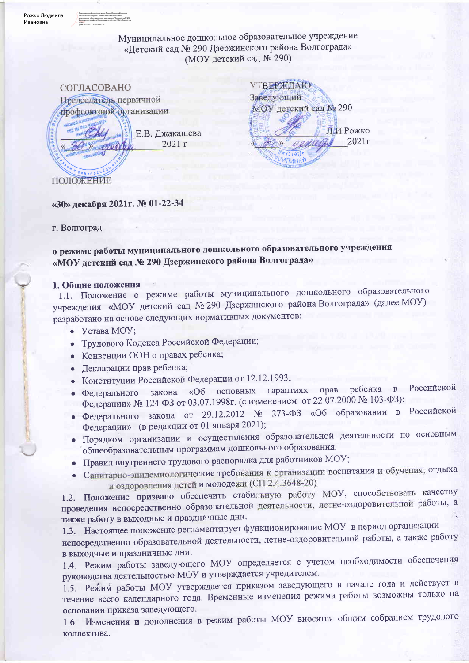Рожко Людмила Ивановна

> Муниципальное дошкольное образовательное учреждение «Детский сад № 290 Дзержинского района Волгограда» (МОУ детский сад № 290)



**УТВЕРЖДАЮ** Заведующий МОУ детский сад № 290 Л.И.Рожко  $2021r$ **SUTTUHAY** 

#### «З0» декабря 2021г. № 01-22-34

#### г. Волгоград

ПОЛОЖЕНИЕ

о режиме работы муниципального дошкольного образовательного учреждения «МОУ детский сад № 290 Дзержинского района Волгограда»

#### 1. Общие положения

1.1. Положение о режиме работы муниципального дошкольного образовательного учреждения «МОУ детский сад № 290 Дзержинского района Волгограда» (далее МОУ) разработано на основе следующих нормативных документов:

- $\bullet$  Устава МОУ;
- Трудового Кодекса Российской Федерации;
- Конвенции ООН о правах ребенка;
- Декларации прав ребенка;
- Конституции Российской Федерации от 12.12.1993;
- закона «Об основных гарантиях прав ребенка в Российской • Федерального Федерации» № 124 ФЗ от 03.07.1998г. (с изменением от 22.07.2000 № 103-ФЗ);
- Федерального закона от 29.12.2012 № 273-ФЗ «Об образовании в Российской Федерации» (в редакции от 01 января 2021);
- Порядком организации и осуществления образовательной деятельности по основным общеобразовательным программам дошкольного образования.
- Правил внутреннего трудового распорядка для работников МОУ;
- Санитарно-эпидемиологические требования к организации воспитания и обучения, отдыха и оздоровления детей и молодежи (СП 2.4.3648-20)

1.2. Положение призвано обеспечить стабильную работу МОУ, способствовать качеству проведения непосредственно образовательной деятельности, летне-оздоровительной работы, а также работу в выходные и праздничные дни.

1.3. Настоящее положение регламентирует функционирование МОУ в период организации непосредственно образовательной деятельности, летне-оздоровительной работы, а также работу в выходные и праздничные дни.

1.4. Режим работы заведующего МОУ определяется с учетом необходимости обеспечения руководства деятельностью МОУ и утверждается учредителем.

1.5. Режим работы МОУ утверждается приказом заведующего в начале года и действует в течение всего календарного года. Временные изменения режима работы возможны только на основании приказа заведующего.

1.6. Изменения и дополнения в режим работы МОУ вносятся общим собранием трудового коллектива.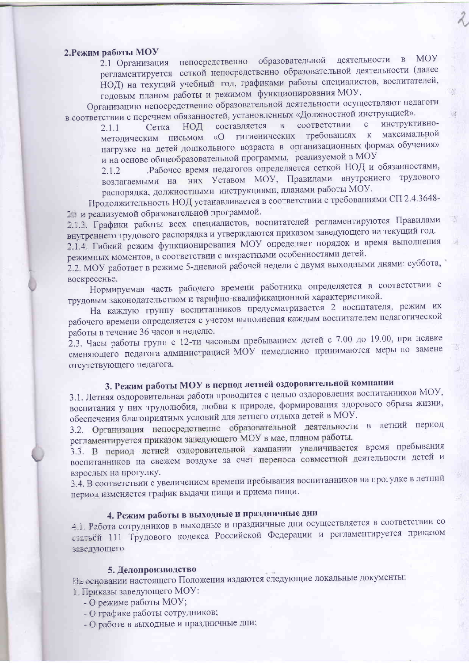### 2. Режим работы МОУ

непосредственно образовательной деятельности в **MOY** 2.1 Организация регламентируется сеткой непосредственно образовательной деятельности (далее НОД) на текущий учебный год, графиками работы специалистов, воспитателей, годовым планом работы и режимом функционирования МОУ.

X.

 $\bar{d}$ 

18

Организацию непосредственно образовательной деятельности осуществляют педагоги в соответствии с перечнем обязанностей, установленных «Должностной инструкцией».

соответствии  $\mathbf{C}$ инструктивно- $\overline{B}$ составляется  $2.1.1$ Сетка НОД максимальной гигиенических требованиях к методическим письмом «О нагрузке на детей дошкольного возраста в организационных формах обучения» и на основе общеобразовательной программы, реализуемой в МОУ

Рабочее время педагогов определяется сеткой НОД и обязанностями,  $2.1.2$ возлагаемыми на них Уставом МОУ, Правилами внутреннего трудового распорядка, должностными инструкциями, планами работы МОУ.

Продолжительность НОД устанавливается в соответствии с требованиями СП 2.4.3648-20 и реализуемой образовательной программой.

2.1.3. Графики работы всех специалистов, воспитателей регламентируются Правилами внутреннего трудового распорядка и утверждаются приказом заведующего на текущий год.

2.1.4. Гибкий режим функционирования МОУ определяет порядок и время выполнения режимных моментов, в соответствии с возрастными особенностями детей.

2.2. МОУ работает в режиме 5-дневной рабочей недели с двумя выходными днями: суббота, воскресенье.

Нормируемая часть рабочего времени работника определяется в соответствии с трудовым законодательством и тарифно-квалификационной характеристикой.

На каждую группу воспитанников предусматривается 2 воспитателя, режим их рабочего времени определяется с учетом выполнения каждым воспитателем педагогической работы в течение 36 часов в неделю.

2.3. Часы работы групп с 12-ти часовым пребыванием детей с 7.00 до 19.00, при неявке сменяющего педагога администрацией МОУ немедленно принимаются меры по замене отсутствующего педагога.

# 3. Режим работы МОУ в период летней оздоровительной компании

3.1. Летняя оздоровительная работа проводится с целью оздоровления воспитанников МОУ, воспитания у них трудолюбия, любви к природе, формирования здорового образа жизни, обеспечения благоприятных условий для летнего отдыха детей в МОУ.

3.2. Организация непосредственно образовательной деятельности в летний период регламентируется приказом заведующего МОУ в мае, планом работы.

3.3. В период летней оздоровительной кампании увеличивается время пребывания воспитанников на свежем воздухе за счет переноса совместной деятельности детей и взрослых на прогулку.

3.4. В соответствии с увеличением времени пребывания воспитанников на прогулке в летний период изменяется график выдачи пищи и приема пищи.

## 4. Режим работы в выходные и праздничные дни

4.1. Работа сотрудников в выходные и праздничные дни осуществляется в соответствии со статьей 111 Трудового кодекса Российской Федерации и регламентируется приказом заведующего

#### 5. Делопроизводство

На основании настоящего Положения издаются следующие локальные документы: 1. Приказы заведующего МОУ:

- О режиме работы МОУ;
- О графике работы сотрудников;
- О работе в выходные и праздничные дни;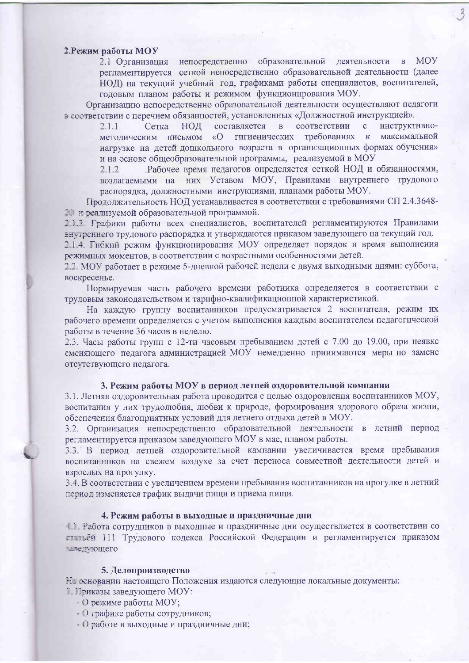#### 2. Режим работы МОУ

**MOY** 2.1 Организация непосредственно образовательной деятельности в регламентируется сеткой непосредственно образовательной деятельности (далее НОД) на текущий учебный год, графиками работы специалистов, воспитателей, годовым планом работы и режимом функционирования МОУ.

Организацию непосредственно образовательной деятельности осуществляют педагоги в соответствии с перечнем обязанностей, установленных «Должностной инструкцией».

составляется соответствии  $\mathbf{c}$ инструктивно- $2.1.1$ Сетка НОД  $\mathbf{B}$ гигиенических требованиях к максимальной методическим письмом  $\langle \langle \mathbf{O} \rangle$ нагрузке на детей дошкольного возраста в организационных формах обучения» и на основе общеобразовательной программы, реализуемой в МОУ

Рабочее время педагогов определяется сеткой НОД и обязанностями,  $2.1.2$ возлагаемыми на них Уставом МОУ, Правилами внутреннего трудового распорядка, должностными инструкциями, планами работы МОУ.

Продолжительность НОД устанавливается в соответствии с требованиями СП 2.4.3648-20 и реализуемой образовательной программой.

213. Графики работы всех специалистов, воспитателей регламентируются Правилами внутреннего трудового распорядка и утверждаются приказом заведующего на текущий год. 2.1.4. Гибкий режим функционирования МОУ определяет порядок и время выполнения режимных моментов, в соответствии с возрастными особенностями детей.

2.2. МОУ работает в режиме 5-дневной рабочей недели с двумя выходными днями: суббота, воскресенье.

Нормируемая часть рабочего времени работника определяется в соответствии с трудовым законодательством и тарифно-квалификационной характеристикой.

На каждую группу воспитанников предусматривается 2 воспитателя, режим их рабочего времени определяется с учетом выполнения каждым воспитателем педагогической работы в течение 36 часов в неделю.

2.3. Часы работы групп с 12-ти часовым пребыванием детей с 7.00 до 19.00, при неявке сменяющего педагога администрацией МОУ немедленно принимаются меры по замене отсутствующего педагога.

#### 3. Режим работы МОУ в период летней оздоровительной компании

3.1. Летняя оздоровительная работа проводится с целью оздоровления воспитанников МОУ, воспитания у них трудолюбия, любви к природе, формирования здорового образа жизни, обеспечения благоприятных условий для летнего отдыха детей в МОУ.

3.2. Организация непосредственно образовательной деятельности в летний период регламентируется приказом заведующего МОУ в мае, планом работы.

3.3. В период летней оздоровительной кампании увеличивается время пребывания воспитанников на свежем воздухе за счет переноса совместной деятельности детей и взрослых на прогулку.

3.4. В соответствии с увеличением времени пребывания воспитанников на прогулке в летний период изменяется график выдачи пищи и приема пищи.

#### 4. Режим работы в выходные и праздничные дни

4 Г. Работа сотрудников в выходные и праздничные дни осуществляется в соответствии со статьёй 111 Трудового кодекса Российской Федерации и регламентируется приказом заведующего

#### 5. Делопроизводство

На основании настоящего Положения издаются следующие локальные документы: 1. Приказы заведующего МОУ:

- О режиме работы МОУ;
- О графике работы сотрудников;
- О работе в выходные и праздничные дни;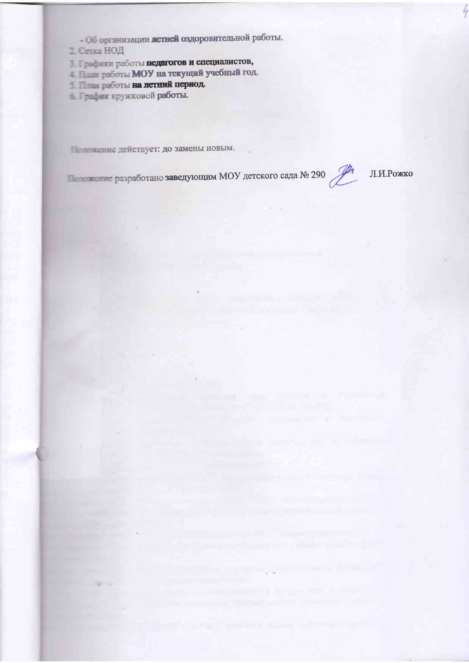- Об организации легней оздоровительной работы.
- 2. Сетка НОД
- В Графики работы педагогов и специалистов,
- 4. План работы МОУ на текущий учебный год.
- 5. План работы на летний период.
- 6. График кружковой работы.

Положение действует: до замены новым.

**В Премене разработано заведующим МОУ** детского сада № 290  $\mathcal{L}$ 

Л.И.Рожко